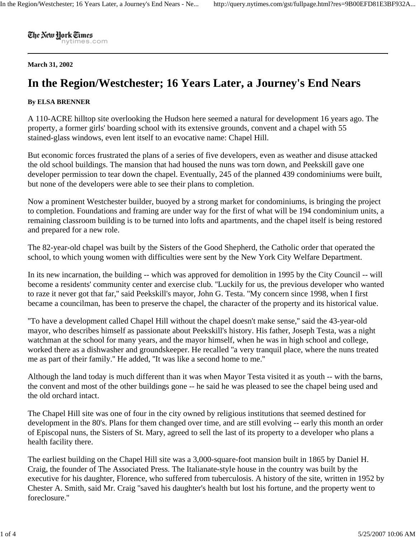The New Hork Times nytimes.com

## **March 31, 2002**

## **In the Region/Westchester; 16 Years Later, a Journey's End Nears**

## **By ELSA BRENNER**

A 110-ACRE hilltop site overlooking the Hudson here seemed a natural for development 16 years ago. The property, a former girls' boarding school with its extensive grounds, convent and a chapel with 55 stained-glass windows, even lent itself to an evocative name: Chapel Hill.

But economic forces frustrated the plans of a series of five developers, even as weather and disuse attacked the old school buildings. The mansion that had housed the nuns was torn down, and Peekskill gave one developer permission to tear down the chapel. Eventually, 245 of the planned 439 condominiums were built, but none of the developers were able to see their plans to completion.

Now a prominent Westchester builder, buoyed by a strong market for condominiums, is bringing the project to completion. Foundations and framing are under way for the first of what will be 194 condominium units, a remaining classroom building is to be turned into lofts and apartments, and the chapel itself is being restored and prepared for a new role.

The 82-year-old chapel was built by the Sisters of the Good Shepherd, the Catholic order that operated the school, to which young women with difficulties were sent by the New York City Welfare Department.

In its new incarnation, the building -- which was approved for demolition in 1995 by the City Council -- will become a residents' community center and exercise club. ''Luckily for us, the previous developer who wanted to raze it never got that far,'' said Peekskill's mayor, John G. Testa. ''My concern since 1998, when I first became a councilman, has been to preserve the chapel, the character of the property and its historical value.

''To have a development called Chapel Hill without the chapel doesn't make sense,'' said the 43-year-old mayor, who describes himself as passionate about Peekskill's history. His father, Joseph Testa, was a night watchman at the school for many years, and the mayor himself, when he was in high school and college, worked there as a dishwasher and groundskeeper. He recalled ''a very tranquil place, where the nuns treated me as part of their family.'' He added, ''It was like a second home to me.''

Although the land today is much different than it was when Mayor Testa visited it as youth -- with the barns, the convent and most of the other buildings gone -- he said he was pleased to see the chapel being used and the old orchard intact.

The Chapel Hill site was one of four in the city owned by religious institutions that seemed destined for development in the 80's. Plans for them changed over time, and are still evolving -- early this month an order of Episcopal nuns, the Sisters of St. Mary, agreed to sell the last of its property to a developer who plans a health facility there.

The earliest building on the Chapel Hill site was a 3,000-square-foot mansion built in 1865 by Daniel H. Craig, the founder of The Associated Press. The Italianate-style house in the country was built by the executive for his daughter, Florence, who suffered from tuberculosis. A history of the site, written in 1952 by Chester A. Smith, said Mr. Craig ''saved his daughter's health but lost his fortune, and the property went to foreclosure.''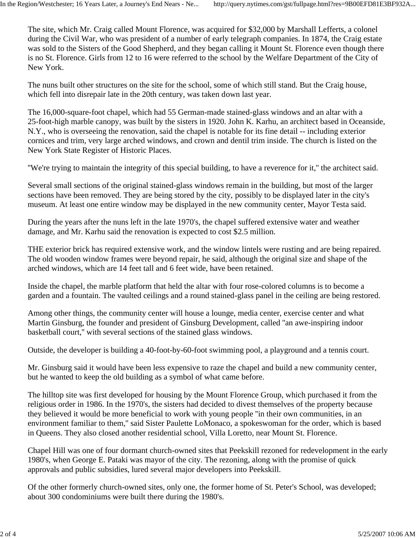The site, which Mr. Craig called Mount Florence, was acquired for \$32,000 by Marshall Lefferts, a colonel during the Civil War, who was president of a number of early telegraph companies. In 1874, the Craig estate was sold to the Sisters of the Good Shepherd, and they began calling it Mount St. Florence even though there is no St. Florence. Girls from 12 to 16 were referred to the school by the Welfare Department of the City of New York.

The nuns built other structures on the site for the school, some of which still stand. But the Craig house, which fell into disrepair late in the 20th century, was taken down last year.

The 16,000-square-foot chapel, which had 55 German-made stained-glass windows and an altar with a 25-foot-high marble canopy, was built by the sisters in 1920. John K. Karhu, an architect based in Oceanside, N.Y., who is overseeing the renovation, said the chapel is notable for its fine detail -- including exterior cornices and trim, very large arched windows, and crown and dentil trim inside. The church is listed on the New York State Register of Historic Places.

''We're trying to maintain the integrity of this special building, to have a reverence for it,'' the architect said.

Several small sections of the original stained-glass windows remain in the building, but most of the larger sections have been removed. They are being stored by the city, possibly to be displayed later in the city's museum. At least one entire window may be displayed in the new community center, Mayor Testa said.

During the years after the nuns left in the late 1970's, the chapel suffered extensive water and weather damage, and Mr. Karhu said the renovation is expected to cost \$2.5 million.

THE exterior brick has required extensive work, and the window lintels were rusting and are being repaired. The old wooden window frames were beyond repair, he said, although the original size and shape of the arched windows, which are 14 feet tall and 6 feet wide, have been retained.

Inside the chapel, the marble platform that held the altar with four rose-colored columns is to become a garden and a fountain. The vaulted ceilings and a round stained-glass panel in the ceiling are being restored.

Among other things, the community center will house a lounge, media center, exercise center and what Martin Ginsburg, the founder and president of Ginsburg Development, called ''an awe-inspiring indoor basketball court,'' with several sections of the stained glass windows.

Outside, the developer is building a 40-foot-by-60-foot swimming pool, a playground and a tennis court.

Mr. Ginsburg said it would have been less expensive to raze the chapel and build a new community center, but he wanted to keep the old building as a symbol of what came before.

The hilltop site was first developed for housing by the Mount Florence Group, which purchased it from the religious order in 1986. In the 1970's, the sisters had decided to divest themselves of the property because they believed it would be more beneficial to work with young people ''in their own communities, in an environment familiar to them,'' said Sister Paulette LoMonaco, a spokeswoman for the order, which is based in Queens. They also closed another residential school, Villa Loretto, near Mount St. Florence.

Chapel Hill was one of four dormant church-owned sites that Peekskill rezoned for redevelopment in the early 1980's, when George E. Pataki was mayor of the city. The rezoning, along with the promise of quick approvals and public subsidies, lured several major developers into Peekskill.

Of the other formerly church-owned sites, only one, the former home of St. Peter's School, was developed; about 300 condominiums were built there during the 1980's.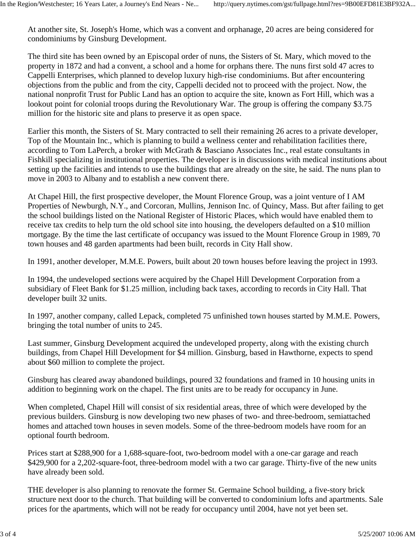At another site, St. Joseph's Home, which was a convent and orphanage, 20 acres are being considered for condominiums by Ginsburg Development.

The third site has been owned by an Episcopal order of nuns, the Sisters of St. Mary, which moved to the property in 1872 and had a convent, a school and a home for orphans there. The nuns first sold 47 acres to Cappelli Enterprises, which planned to develop luxury high-rise condominiums. But after encountering objections from the public and from the city, Cappelli decided not to proceed with the project. Now, the national nonprofit Trust for Public Land has an option to acquire the site, known as Fort Hill, which was a lookout point for colonial troops during the Revolutionary War. The group is offering the company \$3.75 million for the historic site and plans to preserve it as open space.

Earlier this month, the Sisters of St. Mary contracted to sell their remaining 26 acres to a private developer, Top of the Mountain Inc., which is planning to build a wellness center and rehabilitation facilities there, according to Tom LaPerch, a broker with McGrath & Basciano Associates Inc., real estate consultants in Fishkill specializing in institutional properties. The developer is in discussions with medical institutions about setting up the facilities and intends to use the buildings that are already on the site, he said. The nuns plan to move in 2003 to Albany and to establish a new convent there.

At Chapel Hill, the first prospective developer, the Mount Florence Group, was a joint venture of I AM Properties of Newburgh, N.Y., and Corcoran, Mullins, Jennison Inc. of Quincy, Mass. But after failing to get the school buildings listed on the National Register of Historic Places, which would have enabled them to receive tax credits to help turn the old school site into housing, the developers defaulted on a \$10 million mortgage. By the time the last certificate of occupancy was issued to the Mount Florence Group in 1989, 70 town houses and 48 garden apartments had been built, records in City Hall show.

In 1991, another developer, M.M.E. Powers, built about 20 town houses before leaving the project in 1993.

In 1994, the undeveloped sections were acquired by the Chapel Hill Development Corporation from a subsidiary of Fleet Bank for \$1.25 million, including back taxes, according to records in City Hall. That developer built 32 units.

In 1997, another company, called Lepack, completed 75 unfinished town houses started by M.M.E. Powers, bringing the total number of units to 245.

Last summer, Ginsburg Development acquired the undeveloped property, along with the existing church buildings, from Chapel Hill Development for \$4 million. Ginsburg, based in Hawthorne, expects to spend about \$60 million to complete the project.

Ginsburg has cleared away abandoned buildings, poured 32 foundations and framed in 10 housing units in addition to beginning work on the chapel. The first units are to be ready for occupancy in June.

When completed, Chapel Hill will consist of six residential areas, three of which were developed by the previous builders. Ginsburg is now developing two new phases of two- and three-bedroom, semiattached homes and attached town houses in seven models. Some of the three-bedroom models have room for an optional fourth bedroom.

Prices start at \$288,900 for a 1,688-square-foot, two-bedroom model with a one-car garage and reach \$429,900 for a 2,202-square-foot, three-bedroom model with a two car garage. Thirty-five of the new units have already been sold.

THE developer is also planning to renovate the former St. Germaine School building, a five-story brick structure next door to the church. That building will be converted to condominium lofts and apartments. Sale prices for the apartments, which will not be ready for occupancy until 2004, have not yet been set.